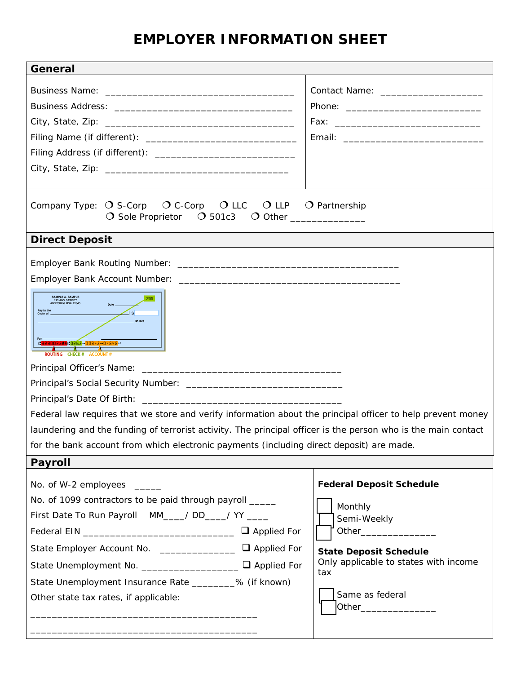# **EMPLOYER INFORMATION SHEET**

| General                                                                                                                                                                                                                                                                                                                                                                                                                                                                                                                                                                                                                                 |                                                                                                                                                                                                                     |
|-----------------------------------------------------------------------------------------------------------------------------------------------------------------------------------------------------------------------------------------------------------------------------------------------------------------------------------------------------------------------------------------------------------------------------------------------------------------------------------------------------------------------------------------------------------------------------------------------------------------------------------------|---------------------------------------------------------------------------------------------------------------------------------------------------------------------------------------------------------------------|
|                                                                                                                                                                                                                                                                                                                                                                                                                                                                                                                                                                                                                                         | Contact Name: _______________________                                                                                                                                                                               |
|                                                                                                                                                                                                                                                                                                                                                                                                                                                                                                                                                                                                                                         |                                                                                                                                                                                                                     |
|                                                                                                                                                                                                                                                                                                                                                                                                                                                                                                                                                                                                                                         |                                                                                                                                                                                                                     |
|                                                                                                                                                                                                                                                                                                                                                                                                                                                                                                                                                                                                                                         |                                                                                                                                                                                                                     |
|                                                                                                                                                                                                                                                                                                                                                                                                                                                                                                                                                                                                                                         |                                                                                                                                                                                                                     |
|                                                                                                                                                                                                                                                                                                                                                                                                                                                                                                                                                                                                                                         |                                                                                                                                                                                                                     |
|                                                                                                                                                                                                                                                                                                                                                                                                                                                                                                                                                                                                                                         |                                                                                                                                                                                                                     |
| $\bigcirc$ C-Corp $\bigcirc$ LLC $\bigcirc$ LLP $\bigcirc$ Partnership<br>Company Type: $\bigcirc$ S-Corp<br>O Sole Proprietor O 501c3 O Other ____________                                                                                                                                                                                                                                                                                                                                                                                                                                                                             |                                                                                                                                                                                                                     |
| <b>Direct Deposit</b>                                                                                                                                                                                                                                                                                                                                                                                                                                                                                                                                                                                                                   |                                                                                                                                                                                                                     |
| SAMPLE A. SAMPLE<br>123 ANY STREET<br>ANYTOWN, USA 12345<br>Pay to the<br>Order of<br>Dollars<br>1223003588 10265 100345 104545 11<br>ROUTING CHECK # ACCOUNT #<br>Principal's Date Of Birth: <u>contract the contract of the contract of the contract of the contract of the contract of the contract of the contract of the contract of the contract of the contract of the contract of the contr</u><br>Federal law requires that we store and verify information about the principal officer to help prevent money<br>laundering and the funding of terrorist activity. The principal officer is the person who is the main contact |                                                                                                                                                                                                                     |
| for the bank account from which electronic payments (including direct deposit) are made.<br>Payroll                                                                                                                                                                                                                                                                                                                                                                                                                                                                                                                                     |                                                                                                                                                                                                                     |
| No. of W-2 employees _____<br>No. of 1099 contractors to be paid through payroll _____<br>First Date To Run Payroll MM___/ DD___/ YY ____<br>State Employer Account No. ______________ □ Applied For<br>State Unemployment No. ____________________ Q Applied For<br>State Unemployment Insurance Rate ________% (if known)<br>Other state tax rates, if applicable:                                                                                                                                                                                                                                                                    | <b>Federal Deposit Schedule</b><br>Monthly<br>Semi-Weekly<br>Other_________________<br><b>State Deposit Schedule</b><br>Only applicable to states with income<br>tax<br>Same as federal<br>Other___________________ |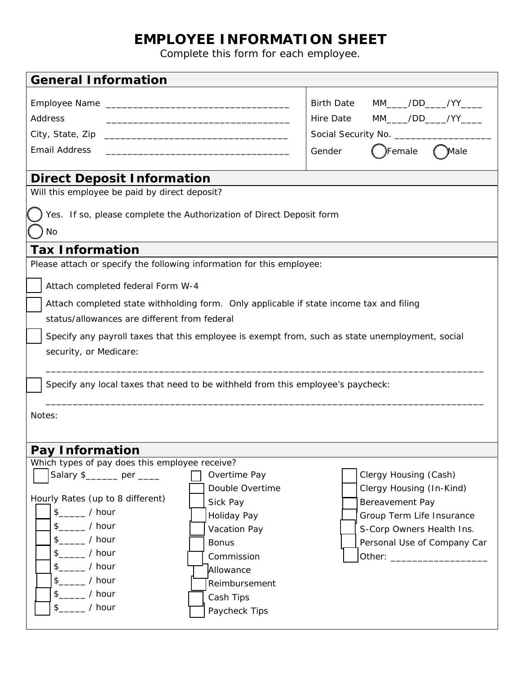## **EMPLOYEE INFORMATION SHEET**

Complete this form for each employee.

| <b>General Information</b>                                                                                                                                                                                                                                                                                                                                                                                                                                                      |                                                                                                                                                               |  |  |
|---------------------------------------------------------------------------------------------------------------------------------------------------------------------------------------------------------------------------------------------------------------------------------------------------------------------------------------------------------------------------------------------------------------------------------------------------------------------------------|---------------------------------------------------------------------------------------------------------------------------------------------------------------|--|--|
| Address<br><b>Email Address</b><br>the control of the control of the control of the control of the control of the control of                                                                                                                                                                                                                                                                                                                                                    | MM_____/DD_____/YY_____<br><b>Birth Date</b><br>MM_____/DD_____/YY_____<br>Hire Date<br>Female<br>Male<br>Gender                                              |  |  |
| <b>Direct Deposit Information</b>                                                                                                                                                                                                                                                                                                                                                                                                                                               |                                                                                                                                                               |  |  |
| Will this employee be paid by direct deposit?                                                                                                                                                                                                                                                                                                                                                                                                                                   |                                                                                                                                                               |  |  |
| Yes. If so, please complete the Authorization of Direct Deposit form<br><b>No</b>                                                                                                                                                                                                                                                                                                                                                                                               |                                                                                                                                                               |  |  |
| <b>Tax Information</b>                                                                                                                                                                                                                                                                                                                                                                                                                                                          |                                                                                                                                                               |  |  |
| Please attach or specify the following information for this employee:<br>Attach completed federal Form W-4<br>Attach completed state withholding form. Only applicable if state income tax and filing<br>status/allowances are different from federal<br>Specify any payroll taxes that this employee is exempt from, such as state unemployment, social<br>security, or Medicare:<br>Specify any local taxes that need to be withheld from this employee's paycheck:<br>Notes: |                                                                                                                                                               |  |  |
|                                                                                                                                                                                                                                                                                                                                                                                                                                                                                 |                                                                                                                                                               |  |  |
| Pay Information<br>Which types of pay does this employee receive?                                                                                                                                                                                                                                                                                                                                                                                                               |                                                                                                                                                               |  |  |
| Salary \$______ per ____<br>Overtime Pay<br>Double Overtime<br>Hourly Rates (up to 8 different)<br>Sick Pay<br>$s$ _____ / hour<br>Holiday Pay<br>$\frac{1}{2}$ / hour<br>Vacation Pay<br>$s$ ______ / hour<br><b>Bonus</b><br>$$$ / hour<br>Commission<br>$s$ ______ / hour<br>Allowance<br>$s$ ______ / hour<br>Reimbursement<br>$s$ ______ / hour<br>Cash Tips<br>$s$ ______ / hour<br>Paycheck Tips                                                                         | Clergy Housing (Cash)<br>Clergy Housing (In-Kind)<br>Bereavement Pay<br>Group Term Life Insurance<br>S-Corp Owners Health Ins.<br>Personal Use of Company Car |  |  |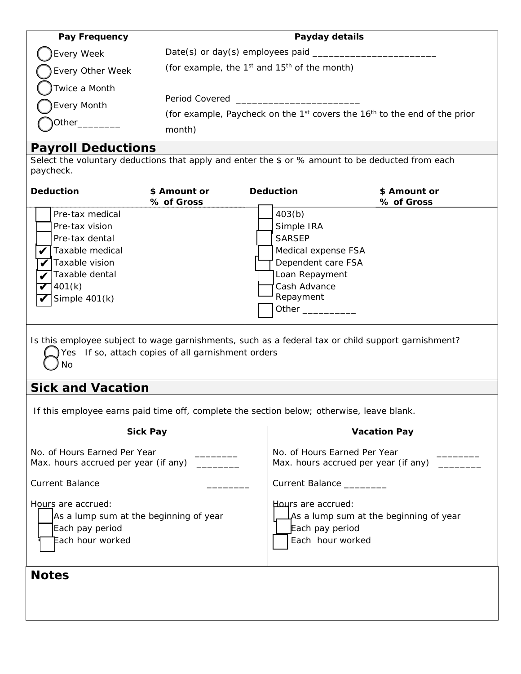| Pay Frequency                          | Payday details                                                                                            |
|----------------------------------------|-----------------------------------------------------------------------------------------------------------|
| Every Week                             | Date(s) or day(s) employees paid                                                                          |
| Every Other Week                       | (for example, the $1^{st}$ and $15^{th}$ of the month)                                                    |
| Twice a Month<br>Every Month<br>Other_ | Period Covered<br>(for example, Paycheck on the $1st$ covers the $16th$ to the end of the prior<br>month) |

#### **Payroll Deductions**

Select the voluntary deductions that apply and enter the \$ or % amount to be deducted from each paycheck.  $\mathbf{I}$ 

| Deduction                                                                                                                               | \$ Amount or<br>% of Gross | <b>Deduction</b>                                                                                                                           | \$ Amount or<br>% of Gross |
|-----------------------------------------------------------------------------------------------------------------------------------------|----------------------------|--------------------------------------------------------------------------------------------------------------------------------------------|----------------------------|
| Pre-tax medical<br>Pre-tax vision<br>Pre-tax dental<br>Taxable medical<br>Taxable vision<br>Taxable dental<br>401(k)<br>Simple $401(k)$ |                            | 403(b)<br>Simple IRA<br><b>SARSEP</b><br>Medical expense FSA<br>Dependent care FSA<br>Loan Repayment<br>Cash Advance<br>Repayment<br>Other |                            |

Is this employee subject to wage garnishments, such as a federal tax or child support garnishment? Yes If so, attach copies of all garnishment orders

No.

### **Sick and Vacation**

If this employee earns paid time off, complete the section below; otherwise, leave blank.

| <b>Sick Pay</b>                                                                                     | <b>Vacation Pay</b>                                                                                          |
|-----------------------------------------------------------------------------------------------------|--------------------------------------------------------------------------------------------------------------|
| No. of Hours Earned Per Year<br>Max. hours accrued per year (if any)                                | No. of Hours Earned Per Year<br>Max. hours accrued per year (if any)                                         |
| <b>Current Balance</b>                                                                              | Current Balance                                                                                              |
| Hours are accrued:<br>As a lump sum at the beginning of year<br>Each pay period<br>Each hour worked | Hours are accrued:<br>$\Delta$ As a lump sum at the beginning of year<br>Each pay period<br>Each hour worked |
| <b>Notes</b>                                                                                        |                                                                                                              |
|                                                                                                     |                                                                                                              |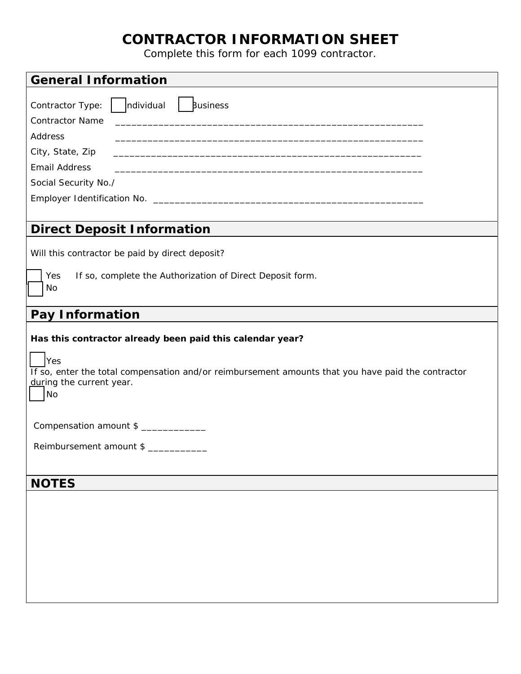### **CONTRACTOR INFORMATION SHEET**

Complete this form for each 1099 contractor.

| <b>General Information</b>                                                                                                                  |
|---------------------------------------------------------------------------------------------------------------------------------------------|
| $\vert$   ndividual<br>  Business<br>Contractor Type:<br><b>Contractor Name</b>                                                             |
| Address                                                                                                                                     |
| City, State, Zip<br>and the control of the control of the control of the control of the control of the control of the control of the        |
| <b>Email Address</b>                                                                                                                        |
| Social Security No./                                                                                                                        |
|                                                                                                                                             |
|                                                                                                                                             |
| <b>Direct Deposit Information</b>                                                                                                           |
| Will this contractor be paid by direct deposit?                                                                                             |
| If so, complete the Authorization of Direct Deposit form.<br>Yes                                                                            |
| No                                                                                                                                          |
|                                                                                                                                             |
| Pay Information                                                                                                                             |
| Has this contractor already been paid this calendar year?                                                                                   |
| Yes<br>If so, enter the total compensation and/or reimbursement amounts that you have paid the contractor<br>during the current year.<br>No |
| Compensation amount \$                                                                                                                      |
| Reimbursement amount \$                                                                                                                     |
|                                                                                                                                             |
| <b>NOTES</b>                                                                                                                                |
|                                                                                                                                             |
|                                                                                                                                             |
|                                                                                                                                             |
|                                                                                                                                             |
|                                                                                                                                             |
|                                                                                                                                             |
|                                                                                                                                             |